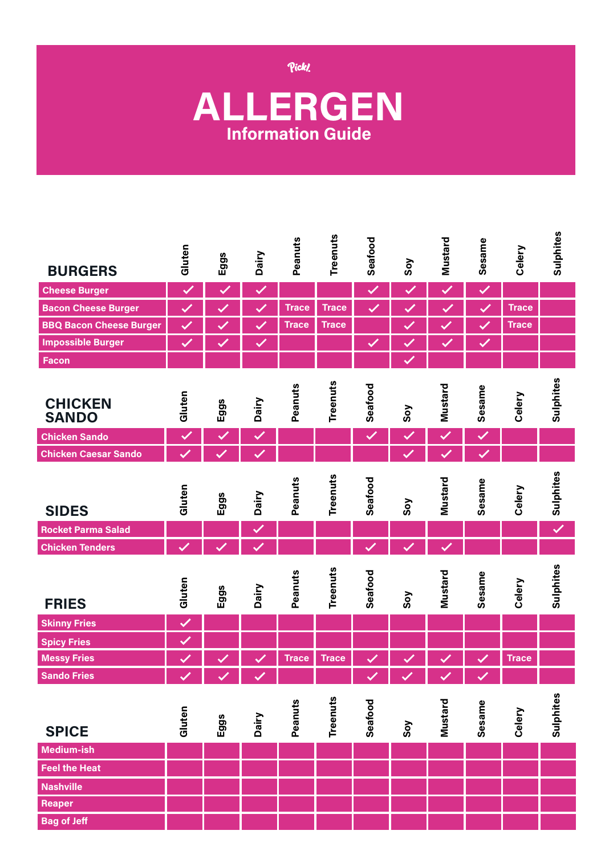Pick!

## **ALLERGEN Information Guide**

| <b>BURGERS</b>                 | Gluten               | Eggs                 | Dairy        | Peanuts      | <b>Treenuts</b> | Seafood      | Soy                  | Mustard      | Sesame       | Celery       | Sulphites    |
|--------------------------------|----------------------|----------------------|--------------|--------------|-----------------|--------------|----------------------|--------------|--------------|--------------|--------------|
| <b>Cheese Burger</b>           | Ø                    | $\checkmark$         | Ø            |              |                 | $\checkmark$ | $\blacktriangledown$ | Ø            | $\checkmark$ |              |              |
| <b>Bacon Cheese Burger</b>     | $\blacktriangledown$ |                      | $\checkmark$ | <b>Trace</b> | <b>Trace</b>    | $\checkmark$ | $\checkmark$         | V            | $\checkmark$ | <b>Trace</b> |              |
| <b>BBQ Bacon Cheese Burger</b> |                      |                      |              | <b>Trace</b> | <b>Trace</b>    |              |                      |              | $\checkmark$ | <b>Trace</b> |              |
| <b>Impossible Burger</b>       |                      |                      | Ø            |              |                 | $\checkmark$ |                      |              | $\checkmark$ |              |              |
| <b>Facon</b>                   |                      |                      |              |              |                 |              |                      |              |              |              |              |
| <b>CHICKEN</b><br><b>SANDO</b> | Gluten               | Eggs                 | <b>Dairy</b> | Peanuts      | Treenuts        | Seafood      | Soy                  | Mustard      | Sesame       | Celery       | Sulphites    |
| <b>Chicken Sando</b>           | $\checkmark$         | $\blacktriangledown$ | Ø            |              |                 | $\checkmark$ | $\checkmark$         | $\checkmark$ | Ø            |              |              |
| <b>Chicken Caesar Sando</b>    |                      |                      |              |              |                 |              |                      |              |              |              |              |
| <b>SIDES</b>                   | Gluten               | Eggs                 | Dairy        | Peanuts      | Treenuts        | Seafood      | Soy                  | Mustard      | Sesame       | Celery       | Sulphites    |
| <b>Rocket Parma Salad</b>      |                      |                      | Ø            |              |                 |              |                      |              |              |              | $\checkmark$ |
| <b>Chicken Tenders</b>         |                      |                      |              |              |                 |              |                      |              |              |              |              |
| <b>FRIES</b>                   | Gluten               | Eggs                 | Dairy        | Peanuts      | Treenuts        | Seafood      | Soy                  | Mustard      | Sesame       | Celery       | Sulphites    |
| <b>Skinny Fries</b>            | $\checkmark$         |                      |              |              |                 |              |                      |              |              |              |              |
| <b>Spicy Fries</b>             | $\checkmark$         |                      |              |              |                 |              |                      |              |              |              |              |
| <b>Messy Fries</b>             | ✓                    |                      |              | <b>Trace</b> | <b>Trace</b>    |              |                      |              |              | <b>Trace</b> |              |
| <b>Sando Fries</b>             | ∕                    | ╱                    |              |              |                 | ∕            | ∕                    | ╱            | ╱            |              |              |
| <b>SPICE</b>                   | Gluten               | Eggs                 | Dairy        | Peanuts      | Treenuts        | Seafood      | Soy                  | Mustard      | Sesame       | Celery       | Sulphites    |
| Medium-ish                     |                      |                      |              |              |                 |              |                      |              |              |              |              |
| <b>Feel the Heat</b>           |                      |                      |              |              |                 |              |                      |              |              |              |              |
| <b>Nashville</b>               |                      |                      |              |              |                 |              |                      |              |              |              |              |
| <b>Reaper</b>                  |                      |                      |              |              |                 |              |                      |              |              |              |              |
| <b>Bag of Jeff</b>             |                      |                      |              |              |                 |              |                      |              |              |              |              |